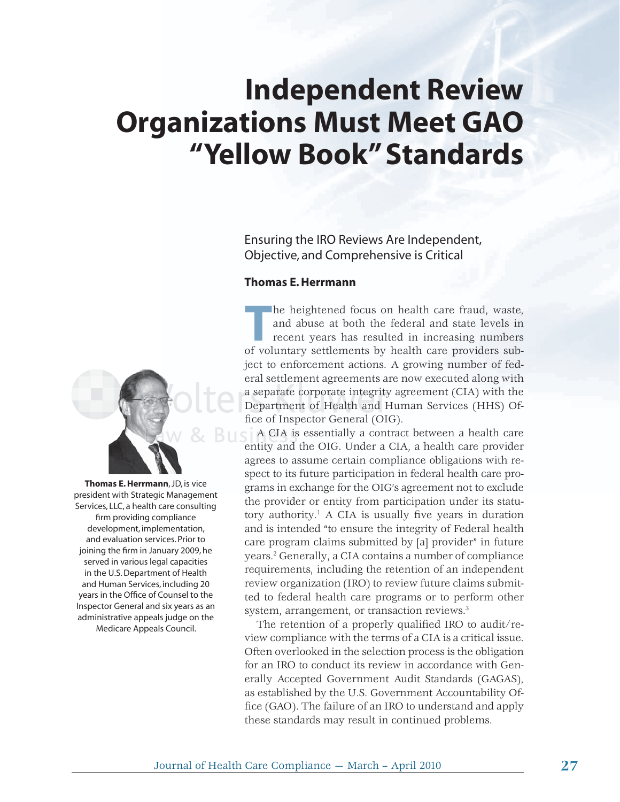# **Independent Review Organizations Must Meet GAO "Yellow Book" Standards**

Ensuring the IRO Reviews Are Independent, Objective, and Comprehensive is Critical

#### **Thomas E. Herrmann**



**Thomas E. Herrmann**, JD, is vice president with Strategic Management Services, LLC, a health care consulting firm providing compliance development, implementation, and evaluation services. Prior to joining the firm in January 2009, he served in various legal capacities in the U.S. Department of Health and Human Services, including 20 years in the Office of Counsel to the Inspector General and six years as an administrative appeals judge on the Medicare Appeals Council.

The heightened focus on health care fraud, waste,<br>and abuse at both the federal and state levels in<br>recent years has resulted in increasing numbers<br>of voluntary settlements by health care providers suband abuse at both the federal and state levels in recent years has resulted in increasing numbers of voluntary settlements by health care providers subject to enforcement actions. A growing number of federal settlement agreements are now executed along with a separate corporate integrity agreement (CIA) with the Department of Health and Human Services (HHS) Office of Inspector General (OIG).

A CIA is essentially a contract between a health care entity and the OIG. Under a CIA, a health care provider agrees to assume certain compliance obligations with respect to its future participation in federal health care programs in exchange for the OIG's agreement not to exclude the provider or entity from participation under its statutory authority.<sup>1</sup> A CIA is usually five years in duration and is intended "to ensure the integrity of Federal health care program claims submitted by [a] provider" in future years.2 Generally, a CIA contains a number of compliance requirements, including the retention of an independent review organization (IRO) to review future claims submitted to federal health care programs or to perform other system, arrangement, or transaction reviews.3

The retention of a properly qualified IRO to audit/review compliance with the terms of a CIA is a critical issue. Often overlooked in the selection process is the obligation for an IRO to conduct its review in accordance with Generally Accepted Government Audit Standards (GAGAS), as established by the U.S. Government Accountability Office (GAO). The failure of an IRO to understand and apply these standards may result in continued problems.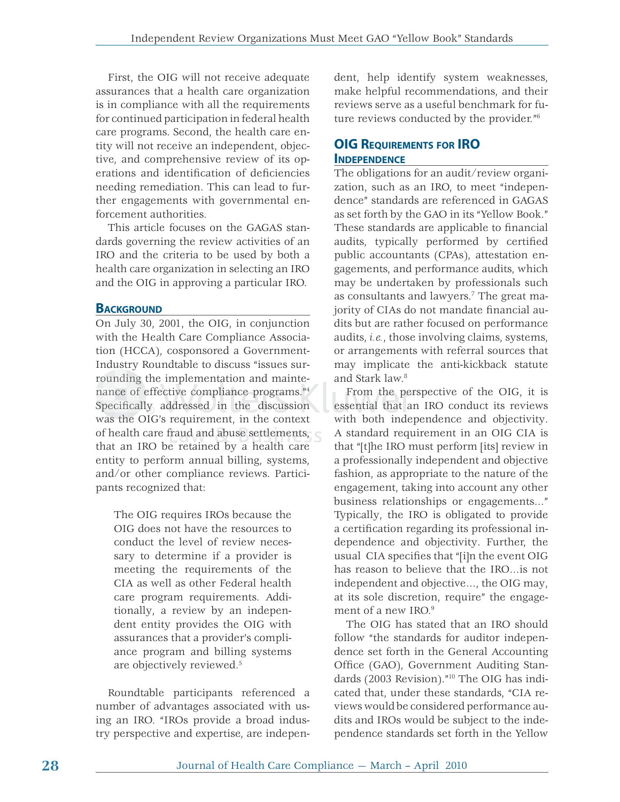First, the OIG will not receive adequate assurances that a health care organization is in compliance with all the requirements for continued participation in federal health care programs. Second, the health care entity will not receive an independent, objective, and comprehensive review of its operations and identification of deficiencies needing remediation. This can lead to further engagements with governmental enforcement authorities.

This article focuses on the GAGAS standards governing the review activities of an IRO and the criteria to be used by both a health care organization in selecting an IRO and the OIG in approving a particular IRO.

#### **BACKGROUND**

On July 30, 2001, the OIG, in conjunction with the Health Care Compliance Association (HCCA), cosponsored a Government-Industry Roundtable to discuss "issues surrounding the implementation and mainterounding the implementation and mainte-<br>nance of effective compliance programs."<sup>4</sup> nance of effective compliance programs."4<br>Specifically, addressed in the discussion was the OIG's requirement, in the context of health care fraud and abuse settlements, an ab se set tleme nts, that an IRO be retained by a health care entity to perform annual billing, systems, and/or other compliance reviews. Participants recognized that:

The OIG requires IROs because the OIG does not have the resources to conduct the level of review necessary to determine if a provider is meeting the requirements of the CIA as well as other Federal health care program requirements. Additionally, a review by an independent entity provides the OIG with assurances that a provider's compliance program and billing systems are objectively reviewed.5

Roundtable participants referenced a number of advantages associated with using an IRO. "IROs provide a broad industry perspective and expertise, are independent, help identify system weaknesses, make helpful recommendations, and their reviews serve as a useful benchmark for future reviews conducted by the provider."6

# **OIG REQUIREMENTS FOR IRO INDEPENDENCE**

The obligations for an audit/review organization, such as an IRO, to meet "independence" standards are referenced in GAGAS as set forth by the GAO in its "Yellow Book." These standards are applicable to financial audits, typically performed by certified public accountants (CPAs), attestation engagements, and performance audits, which may be undertaken by professionals such as consultants and lawyers.7 The great majority of CIAs do not mandate financial audits but are rather focused on performance audits, *i.e.*, those involving claims, systems, or arrangements with referral sources that may implicate the anti-kickback statute and Stark law.8

From the perspective of the OIG, it is essential that an IRO conduct its reviews ess ential that with both independence and objectivity. A standard requirement in an OIG CIA is that "[t]he IRO must perform [its] review in a professionally independent and objective fashion, as appropriate to the nature of the engagement, taking into account any other business relationships or engagements…" Typically, the IRO is obligated to provide a certification regarding its professional independence and objectivity. Further, the usual CIA specifies that "[i]n the event OIG has reason to believe that the IRO…is not independent and objective…, the OIG may, at its sole discretion, require" the engagement of a new IRO.<sup>9</sup>

The OIG has stated that an IRO should follow "the standards for auditor independence set forth in the General Accounting Office (GAO), Government Auditing Standards (2003 Revision)."10 The OIG has indicated that, under these standards, "CIA reviews would be considered performance audits and IROs would be subject to the independence standards set forth in the Yellow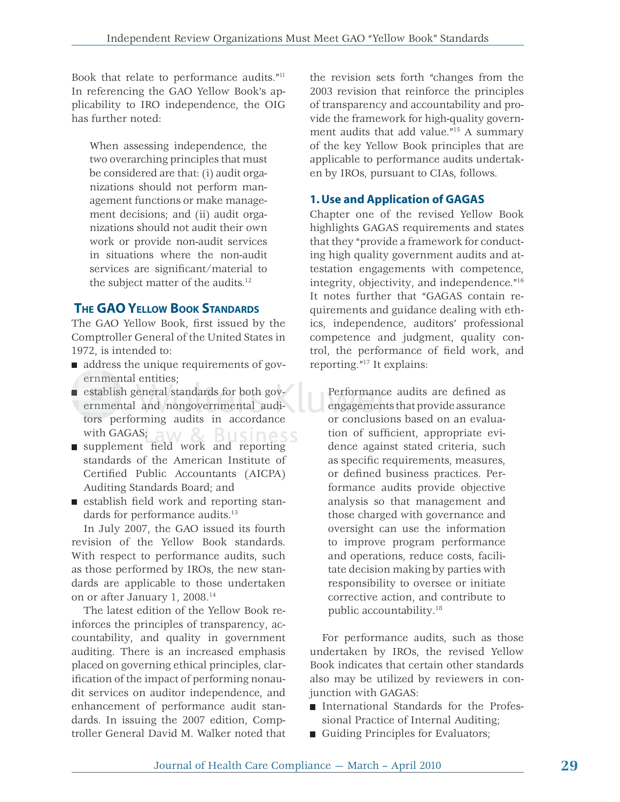Book that relate to performance audits."11 In referencing the GAO Yellow Book's applicability to IRO independence, the OIG has further noted:

When assessing independence, the two overarching principles that must be considered are that: (i) audit organizations should not perform management functions or make management decisions; and (ii) audit organizations should not audit their own work or provide non-audit services in situations where the non-audit services are significant/material to the subject matter of the audits.<sup>12</sup>

# **THE GAO YELLOW BOOK STANDARDS**

The GAO Yellow Book, first issued by the Comptroller General of the United States in 1972, is intended to:

- address the unique requirements of governmental entities;
- ernmental entities;<br>establish general standards for both governmental and nongovernmental auditors performing audits in accordance with GAGAS; siness
- with GAGAS;<br>supplement field work and reporting standards of the American Institute of Certified Public Accountants (AICPA) Auditing Standards Board; and
- $\blacksquare$  establish field work and reporting standards for performance audits.<sup>13</sup>

In July 2007, the GAO issued its fourth revision of the Yellow Book standards. With respect to performance audits, such as those performed by IROs, the new standards are applicable to those undertaken on or after January 1, 2008.14

The latest edition of the Yellow Book reinforces the principles of transparency, accountability, and quality in government auditing. There is an increased emphasis placed on governing ethical principles, clarification of the impact of performing nonaudit services on auditor independence, and enhancement of performance audit standards. In issuing the 2007 edition, Comptroller General David M. Walker noted that the revision sets forth "changes from the 2003 revision that reinforce the principles of transparency and accountability and provide the framework for high-quality government audits that add value."15 A summary of the key Yellow Book principles that are applicable to performance audits undertaken by IROs, pursuant to CIAs, follows.

# **1. Use and Application of GAGAS**

Chapter one of the revised Yellow Book highlights GAGAS requirements and states that they "provide a framework for conducting high quality government audits and attestation engagements with competence, integrity, objectivity, and independence."16 It notes further that "GAGAS contain requirements and guidance dealing with ethics, independence, auditors' professional competence and judgment, quality control, the performance of field work, and reporting."17 It explains:

Performance audits are defined as engagements that provide assurance engag eme n or conclusions based on an evaluation of sufficient, appropriate evidence against stated criteria, such as specific requirements, measures, or defined business practices. Performance audits provide objective analysis so that management and those charged with governance and oversight can use the information to improve program performance and operations, reduce costs, facilitate decision making by parties with responsibility to oversee or initiate corrective action, and contribute to public accountability.18

For performance audits, such as those undertaken by IROs, the revised Yellow Book indicates that certain other standards also may be utilized by reviewers in conjunction with GAGAS:

- International Standards for the Professional Practice of Internal Auditing;
- Guiding Principles for Evaluators;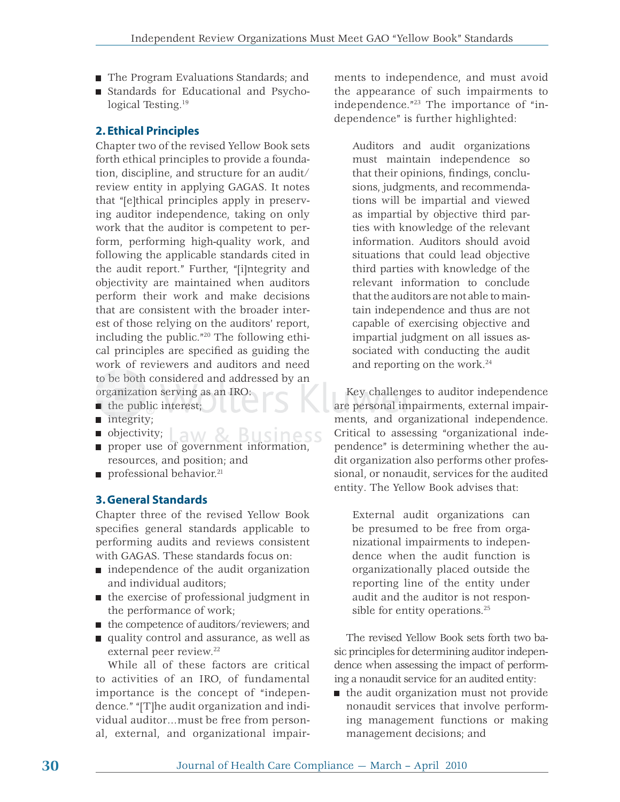- The Program Evaluations Standards; and
- Standards for Educational and Psychological Testing.<sup>19</sup>

#### **2. Ethical Principles**

Chapter two of the revised Yellow Book sets forth ethical principles to provide a foundation, discipline, and structure for an audit/ review entity in applying GAGAS. It notes that "[e]thical principles apply in preserving auditor independence, taking on only work that the auditor is competent to perform, performing high-quality work, and following the applicable standards cited in the audit report." Further, "[i]ntegrity and objectivity are maintained when auditors perform their work and make decisions that are consistent with the broader interest of those relying on the auditors' report, including the public."20 The following ethical principles are specified as guiding the work of reviewers and auditors and need to be both considered and addressed by an organization serving as an IRO: ed and<br>; as an<br>t; to be both considered and addressed by an<br>organization serving as an IRO:

- the public interest;
- integrity; integr
- objectivity;  $Law & Bussiness$
- **proper use of government information,** resources, and position; and
- $\blacksquare$  professional behavior.<sup>21</sup>

#### **3. General Standards**

Chapter three of the revised Yellow Book specifies general standards applicable to performing audits and reviews consistent with GAGAS. These standards focus on:

- independence of the audit organization and individual auditors;
- the exercise of professional judgment in the performance of work;
- the competence of auditors/reviewers; and
- quality control and assurance, as well as external peer review.<sup>22</sup>

While all of these factors are critical to activities of an IRO, of fundamental importance is the concept of "independence." "[T]he audit organization and individual auditor…must be free from personal, external, and organizational impairments to independence, and must avoid the appearance of such impairments to independence."23 The importance of "independence" is further highlighted:

Auditors and audit organizations must maintain independence so that their opinions, findings, conclusions, judgments, and recommendations will be impartial and viewed as impartial by objective third parties with knowledge of the relevant information. Auditors should avoid situations that could lead objective third parties with knowledge of the relevant information to conclude that the auditors are not able to maintain independence and thus are not capable of exercising objective and impartial judgment on all issues associated with conducting the audit and reporting on the work.24

Key challenges to auditor independence are personal impairments, external impairments, and organizational independence. Critical to assessing "organizational independence" is determining whether the audit organization also performs other professional, or nonaudit, services for the audited entity. The Yellow Book advises that:

External audit organizations can be presumed to be free from organizational impairments to independence when the audit function is organizationally placed outside the reporting line of the entity under audit and the auditor is not responsible for entity operations.<sup>25</sup>

The revised Yellow Book sets forth two basic principles for determining auditor independence when assessing the impact of performing a nonaudit service for an audited entity:

 $\blacksquare$  the audit organization must not provide nonaudit services that involve performing management functions or making management decisions; and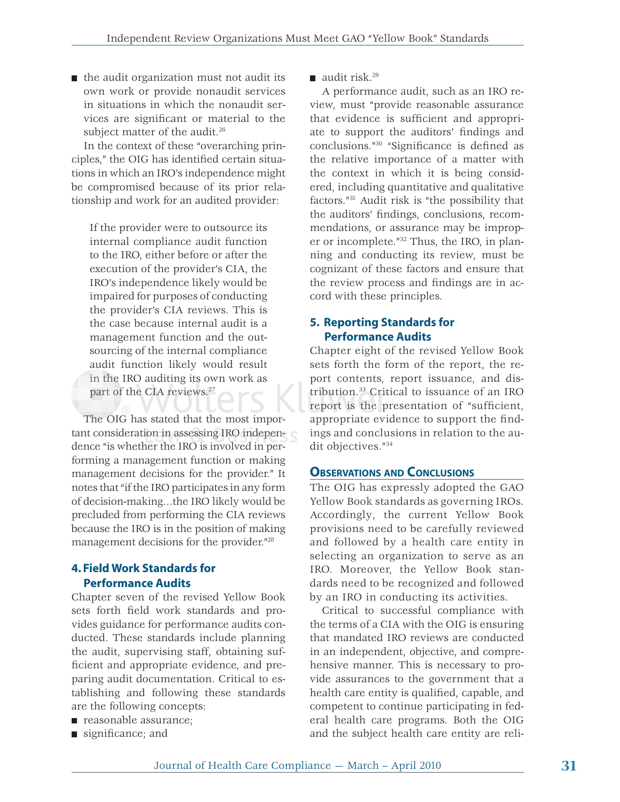$\blacksquare$  the audit organization must not audit its own work or provide nonaudit services in situations in which the nonaudit services are significant or material to the subject matter of the audit.<sup>26</sup>

In the context of these "overarching principles," the OIG has identified certain situations in which an IRO's independence might be compromised because of its prior relationship and work for an audited provider:

If the provider were to outsource its internal compliance audit function to the IRO, either before or after the execution of the provider's CIA, the IRO's independence likely would be impaired for purposes of conducting the provider's CIA reviews. This is the case because internal audit is a management function and the outsourcing of the internal compliance audit function likely would result in the IRO auditing its own work as part of the CIA reviews.<sup>27</sup> trib

The OIG has stated that the most impor-The O tant consideration in assessing IRO independence "is whether the IRO is involved in performing a management function or making management decisions for the provider." It notes that "if the IRO participates in any form of decision-making…the IRO likely would be precluded from performing the CIA reviews because the IRO is in the position of making management decisions for the provider."28

#### **4. Field Work Standards for Performance Audits**

Chapter seven of the revised Yellow Book sets forth field work standards and provides guidance for performance audits conducted. These standards include planning the audit, supervising staff, obtaining sufficient and appropriate evidence, and preparing audit documentation. Critical to establishing and following these standards are the following concepts:

- reasonable assurance;
- $\blacksquare$  significance; and

 $\blacksquare$  audit risk.<sup>29</sup>

A performance audit, such as an IRO review, must "provide reasonable assurance that evidence is sufficient and appropriate to support the auditors' findings and conclusions."<sup>30</sup> "Significance is defined as the relative importance of a matter with the context in which it is being considered, including quantitative and qualitative factors."31 Audit risk is "the possibility that the auditors' findings, conclusions, recommendations, or assurance may be improper or incomplete."32 Thus, the IRO, in planning and conducting its review, must be cognizant of these factors and ensure that the review process and findings are in accord with these principles.

### **5. Reporting Standards for Performance Audits**

Chapter eight of the revised Yellow Book sets forth the form of the report, the report contents, report issuance, and distribution.<sup>33</sup> Critical to issuance of an IRO report is the presentation of "sufficient, appropriate evidence to support the findings and conclusions in relation to the audit objectives."34

#### **OBSERVATIONS AND CONCLUSIONS**

The OIG has expressly adopted the GAO Yellow Book standards as governing IROs. Accordingly, the current Yellow Book provisions need to be carefully reviewed and followed by a health care entity in selecting an organization to serve as an IRO. Moreover, the Yellow Book standards need to be recognized and followed by an IRO in conducting its activities.

Critical to successful compliance with the terms of a CIA with the OIG is ensuring that mandated IRO reviews are conducted in an independent, objective, and comprehensive manner. This is necessary to provide assurances to the government that a health care entity is qualified, capable, and competent to continue participating in federal health care programs. Both the OIG and the subject health care entity are reli